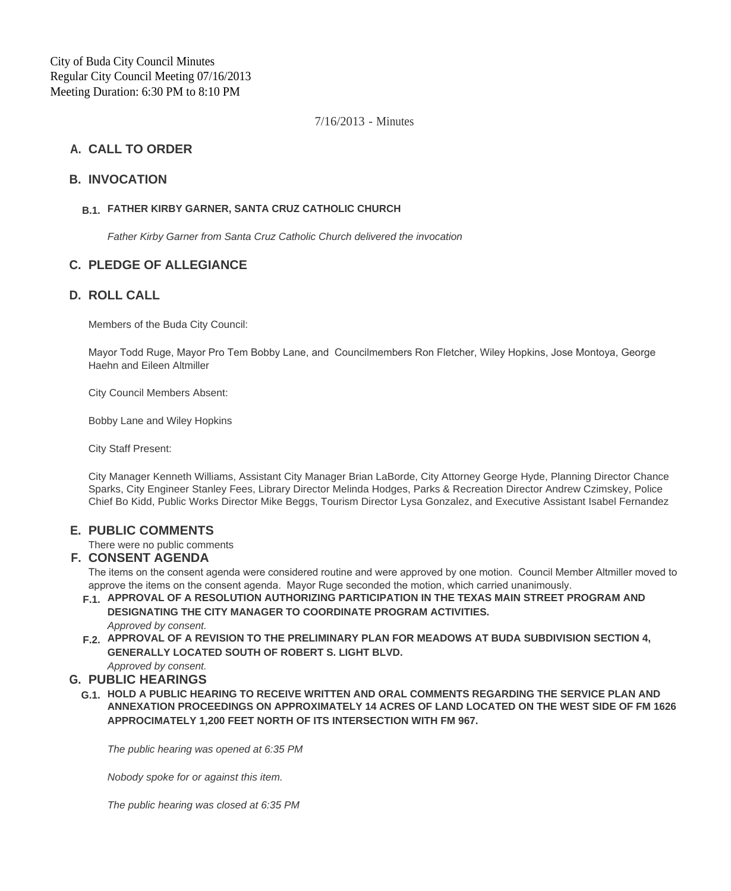City of Buda City Council Minutes Regular City Council Meeting 07/16/2013 Meeting Duration: 6:30 PM to 8:10 PM

7/16/2013 - Minutes

# **CALL TO ORDER A.**

### **INVOCATION B.**

## **FATHER KIRBY GARNER, SANTA CRUZ CATHOLIC CHURCH B.1.**

*Father Kirby Garner from Santa Cruz Catholic Church delivered the invocation*

# **PLEDGE OF ALLEGIANCE C.**

## **ROLL CALL D.**

Members of the Buda City Council:

Mayor Todd Ruge, Mayor Pro Tem Bobby Lane, and Councilmembers Ron Fletcher, Wiley Hopkins, Jose Montoya, George Haehn and Eileen Altmiller

City Council Members Absent:

Bobby Lane and Wiley Hopkins

City Staff Present:

City Manager Kenneth Williams, Assistant City Manager Brian LaBorde, City Attorney George Hyde, Planning Director Chance Sparks, City Engineer Stanley Fees, Library Director Melinda Hodges, Parks & Recreation Director Andrew Czimskey, Police Chief Bo Kidd, Public Works Director Mike Beggs, Tourism Director Lysa Gonzalez, and Executive Assistant Isabel Fernandez

### **PUBLIC COMMENTS E.**

There were no public comments

### **CONSENT AGENDA F.**

The items on the consent agenda were considered routine and were approved by one motion. Council Member Altmiller moved to approve the items on the consent agenda. Mayor Ruge seconded the motion, which carried unanimously.

- **APPROVAL OF A RESOLUTION AUTHORIZING PARTICIPATION IN THE TEXAS MAIN STREET PROGRAM AND F.1. DESIGNATING THE CITY MANAGER TO COORDINATE PROGRAM ACTIVITIES.** *Approved by consent.*
- **APPROVAL OF A REVISION TO THE PRELIMINARY PLAN FOR MEADOWS AT BUDA SUBDIVISION SECTION 4, F.2. GENERALLY LOCATED SOUTH OF ROBERT S. LIGHT BLVD.** *Approved by consent.*

# **PUBLIC HEARINGS G.**

**HOLD A PUBLIC HEARING TO RECEIVE WRITTEN AND ORAL COMMENTS REGARDING THE SERVICE PLAN AND G.1. ANNEXATION PROCEEDINGS ON APPROXIMATELY 14 ACRES OF LAND LOCATED ON THE WEST SIDE OF FM 1626 APPROCIMATELY 1,200 FEET NORTH OF ITS INTERSECTION WITH FM 967.**

*The public hearing was opened at 6:35 PM*

*Nobody spoke for or against this item.*

*The public hearing was closed at 6:35 PM*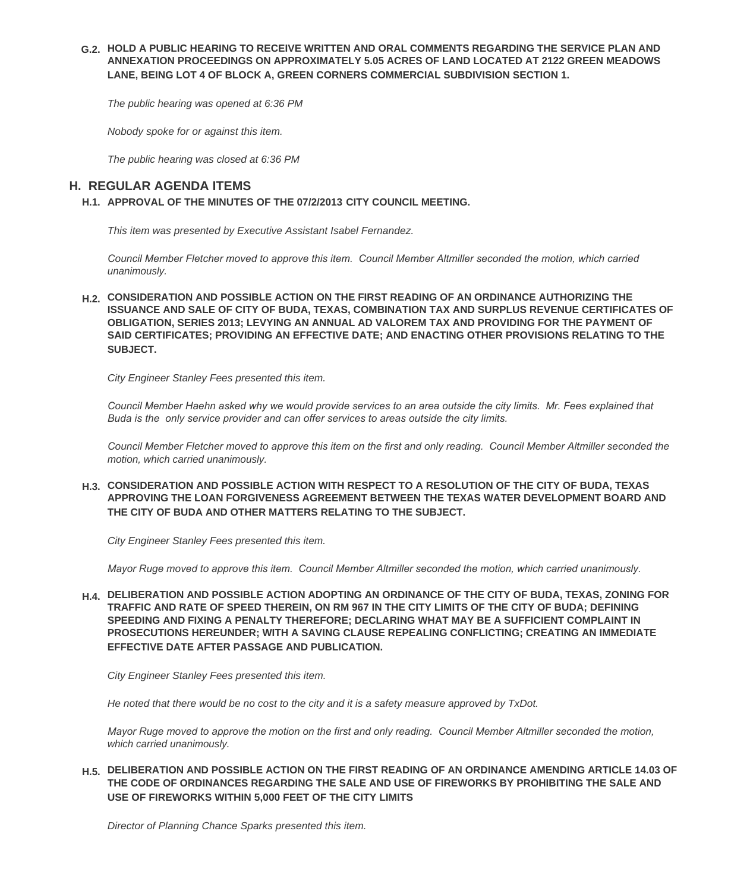#### **HOLD A PUBLIC HEARING TO RECEIVE WRITTEN AND ORAL COMMENTS REGARDING THE SERVICE PLAN AND G.2. ANNEXATION PROCEEDINGS ON APPROXIMATELY 5.05 ACRES OF LAND LOCATED AT 2122 GREEN MEADOWS LANE, BEING LOT 4 OF BLOCK A, GREEN CORNERS COMMERCIAL SUBDIVISION SECTION 1.**

*The public hearing was opened at 6:36 PM*

*Nobody spoke for or against this item.*

*The public hearing was closed at 6:36 PM*

# **REGULAR AGENDA ITEMS H.**

**APPROVAL OF THE MINUTES OF THE 07/2/2013 CITY COUNCIL MEETING. H.1.**

*This item was presented by Executive Assistant Isabel Fernandez.*

*Council Member Fletcher moved to approve this item. Council Member Altmiller seconded the motion, which carried unanimously.*

**CONSIDERATION AND POSSIBLE ACTION ON THE FIRST READING OF AN ORDINANCE AUTHORIZING THE H.2. ISSUANCE AND SALE OF CITY OF BUDA, TEXAS, COMBINATION TAX AND SURPLUS REVENUE CERTIFICATES OF OBLIGATION, SERIES 2013; LEVYING AN ANNUAL AD VALOREM TAX AND PROVIDING FOR THE PAYMENT OF SAID CERTIFICATES; PROVIDING AN EFFECTIVE DATE; AND ENACTING OTHER PROVISIONS RELATING TO THE SUBJECT.**

*City Engineer Stanley Fees presented this item.*

*Council Member Haehn asked why we would provide services to an area outside the city limits. Mr. Fees explained that Buda is the only service provider and can offer services to areas outside the city limits.*

*Council Member Fletcher moved to approve this item on the first and only reading. Council Member Altmiller seconded the motion, which carried unanimously.*

**CONSIDERATION AND POSSIBLE ACTION WITH RESPECT TO A RESOLUTION OF THE CITY OF BUDA, TEXAS H.3. APPROVING THE LOAN FORGIVENESS AGREEMENT BETWEEN THE TEXAS WATER DEVELOPMENT BOARD AND THE CITY OF BUDA AND OTHER MATTERS RELATING TO THE SUBJECT.**

*City Engineer Stanley Fees presented this item.*

*Mayor Ruge moved to approve this item. Council Member Altmiller seconded the motion, which carried unanimously.*

**DELIBERATION AND POSSIBLE ACTION ADOPTING AN ORDINANCE OF THE CITY OF BUDA, TEXAS, ZONING FOR H.4. TRAFFIC AND RATE OF SPEED THEREIN, ON RM 967 IN THE CITY LIMITS OF THE CITY OF BUDA; DEFINING SPEEDING AND FIXING A PENALTY THEREFORE; DECLARING WHAT MAY BE A SUFFICIENT COMPLAINT IN PROSECUTIONS HEREUNDER; WITH A SAVING CLAUSE REPEALING CONFLICTING; CREATING AN IMMEDIATE EFFECTIVE DATE AFTER PASSAGE AND PUBLICATION.**

*City Engineer Stanley Fees presented this item.* 

*He noted that there would be no cost to the city and it is a safety measure approved by TxDot.*

*Mayor Ruge moved to approve the motion on the first and only reading. Council Member Altmiller seconded the motion, which carried unanimously.*

#### **DELIBERATION AND POSSIBLE ACTION ON THE FIRST READING OF AN ORDINANCE AMENDING ARTICLE 14.03 OF H.5. THE CODE OF ORDINANCES REGARDING THE SALE AND USE OF FIREWORKS BY PROHIBITING THE SALE AND USE OF FIREWORKS WITHIN 5,000 FEET OF THE CITY LIMITS**

*Director of Planning Chance Sparks presented this item.*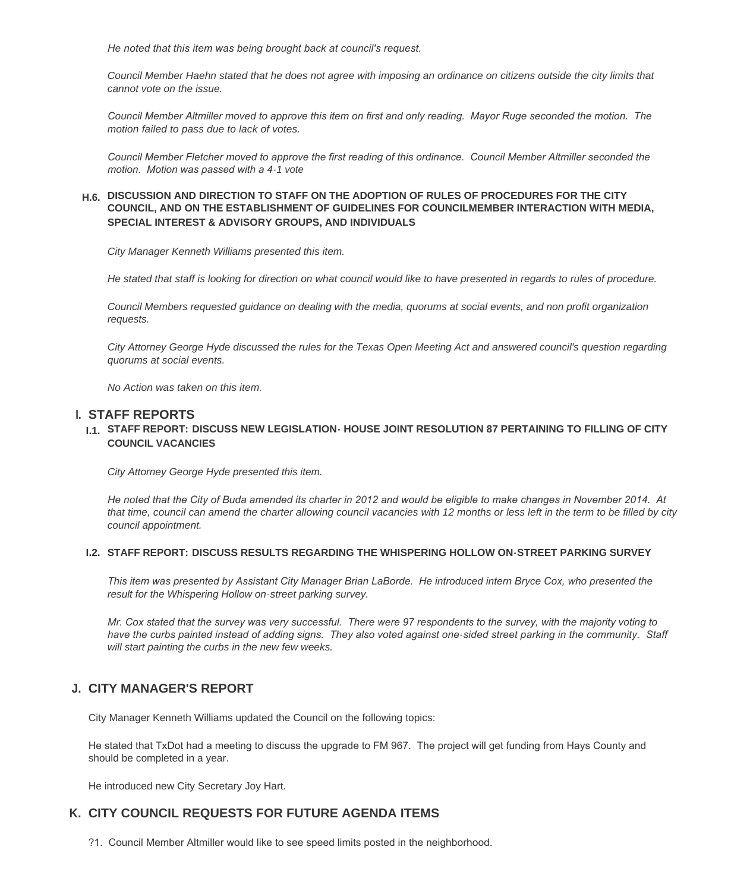*He noted that this item was being brought back at council's request.* 

*Council Member Haehn stated that he does not agree with imposing an ordinance on citizens outside the city limits that cannot vote on the issue.*

*Council Member Altmiller moved to approve this item on first and only reading. Mayor Ruge seconded the motion. The motion failed to pass due to lack of votes.*

*Council Member Fletcher moved to approve the first reading of this ordinance. Council Member Altmiller seconded the motion. Motion was passed with a 4-1 vote*

#### **DISCUSSION AND DIRECTION TO STAFF ON THE ADOPTION OF RULES OF PROCEDURES FOR THE CITY H.6. COUNCIL, AND ON THE ESTABLISHMENT OF GUIDELINES FOR COUNCILMEMBER INTERACTION WITH MEDIA, SPECIAL INTEREST & ADVISORY GROUPS, AND INDIVIDUALS**

*City Manager Kenneth Williams presented this item.*

*He stated that staff is looking for direction on what council would like to have presented in regards to rules of procedure.*

*Council Members requested guidance on dealing with the media, quorums at social events, and non profit organization requests.*

*City Attorney George Hyde discussed the rules for the Texas Open Meeting Act and answered council's question regarding quorums at social events.*

*No Action was taken on this item.*

### **STAFF REPORTS I.**

#### **STAFF REPORT: DISCUSS NEW LEGISLATION- HOUSE JOINT RESOLUTION 87 PERTAINING TO FILLING OF CITY I.1. COUNCIL VACANCIES**

*City Attorney George Hyde presented this item.*

*He noted that the City of Buda amended its charter in 2012 and would be eligible to make changes in November 2014. At that time, council can amend the charter allowing council vacancies with 12 months or less left in the term to be filled by city council appointment.*

#### **STAFF REPORT: DISCUSS RESULTS REGARDING THE WHISPERING HOLLOW ON-STREET PARKING SURVEY I.2.**

*This item was presented by Assistant City Manager Brian LaBorde. He introduced intern Bryce Cox, who presented the result for the Whispering Hollow on-street parking survey.*

*Mr. Cox stated that the survey was very successful. There were 97 respondents to the survey, with the majority voting to*  have the curbs painted instead of adding signs. They also voted against one-sided street parking in the community. Staff *will start painting the curbs in the new few weeks.*

# **CITY MANAGER'S REPORT J.**

City Manager Kenneth Williams updated the Council on the following topics:

He stated that TxDot had a meeting to discuss the upgrade to FM 967. The project will get funding from Hays County and should be completed in a year.

He introduced new City Secretary Joy Hart.

### **CITY COUNCIL REQUESTS FOR FUTURE AGENDA ITEMS K.**

?1. Council Member Altmiller would like to see speed limits posted in the neighborhood.